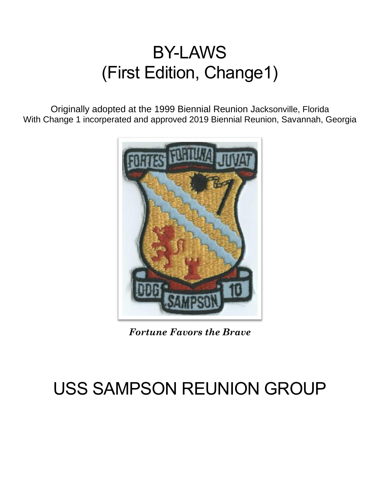# BY-LAWS (First Edition, Change1)

Originally adopted at the 1999 Biennial Reunion Jacksonville, Florida With Change 1 incorperated and approved 2019 Biennial Reunion, Savannah, Georgia



*Fortune Favors the Brave*

# USS SAMPSON REUNION GROUP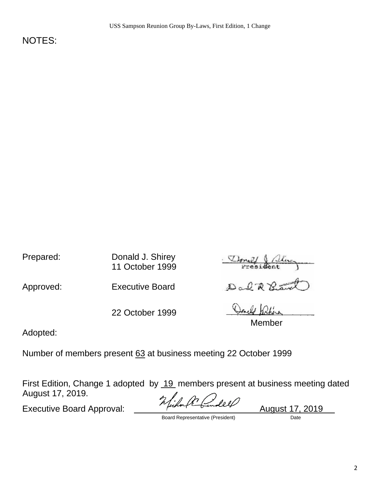NOTES:

Prepared: Donald J. Shirey 11 October 1999

Approved: Executive Board Dance R

22 October 1999

Donald &

Member

Adopted:

Number of members present 63 at business meeting 22 October 1999

First Edition, Change 1 adopted by 19 members present at business meeting dated August 17, 2019.

Executive Board Approval: <u>Change Council</u> August 17, 2019

Board Representative (President) Date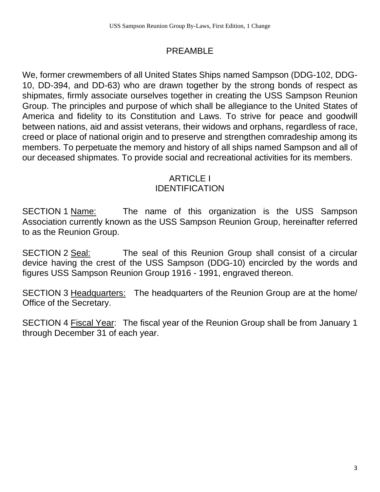## PREAMBLE

We, former crewmembers of all United States Ships named Sampson (DDG-102, DDG-10, DD-394, and DD-63) who are drawn together by the strong bonds of respect as shipmates, firmly associate ourselves together in creating the USS Sampson Reunion Group. The principles and purpose of which shall be allegiance to the United States of America and fidelity to its Constitution and Laws. To strive for peace and goodwill between nations, aid and assist veterans, their widows and orphans, regardless of race, creed or place of national origin and to preserve and strengthen comradeship among its members. To perpetuate the memory and history of all ships named Sampson and all of our deceased shipmates. To provide social and recreational activities for its members.

## ARTICLE I IDENTIFICATION

SECTION 1 Name: The name of this organization is the USS Sampson Association currently known as the USS Sampson Reunion Group, hereinafter referred to as the Reunion Group.

SECTION 2 Seal: The seal of this Reunion Group shall consist of a circular device having the crest of the USS Sampson (DDG-10) encircled by the words and figures USS Sampson Reunion Group 1916 - 1991, engraved thereon.

SECTION 3 Headquarters: The headquarters of the Reunion Group are at the home/ Office of the Secretary.

SECTION 4 Fiscal Year: The fiscal year of the Reunion Group shall be from January 1 through December 31 of each year.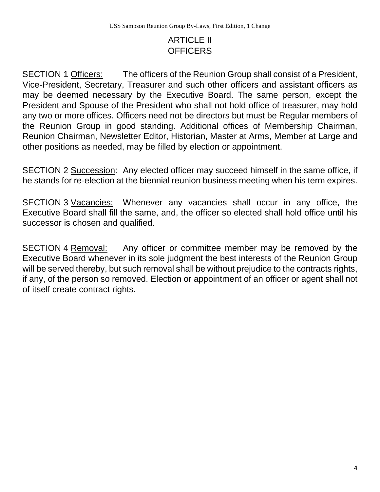# ARTICLE II **OFFICERS**

SECTION 1 Officers: The officers of the Reunion Group shall consist of a President, Vice-President, Secretary, Treasurer and such other officers and assistant officers as may be deemed necessary by the Executive Board. The same person, except the President and Spouse of the President who shall not hold office of treasurer, may hold any two or more offices. Officers need not be directors but must be Regular members of the Reunion Group in good standing. Additional offices of Membership Chairman, Reunion Chairman, Newsletter Editor, Historian, Master at Arms, Member at Large and other positions as needed, may be filled by election or appointment.

SECTION 2 Succession: Any elected officer may succeed himself in the same office, if he stands for re-election at the biennial reunion business meeting when his term expires.

SECTION 3 Vacancies: Whenever any vacancies shall occur in any office, the Executive Board shall fill the same, and, the officer so elected shall hold office until his successor is chosen and qualified.

SECTION 4 Removal: Any officer or committee member may be removed by the Executive Board whenever in its sole judgment the best interests of the Reunion Group will be served thereby, but such removal shall be without prejudice to the contracts rights, if any, of the person so removed. Election or appointment of an officer or agent shall not of itself create contract rights.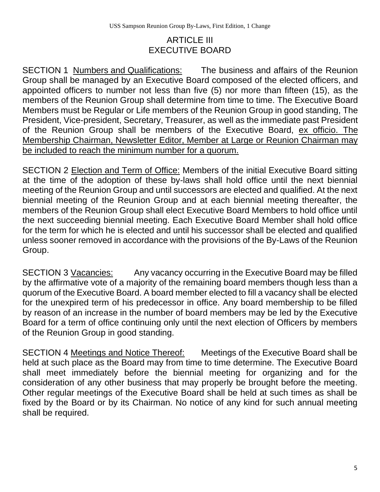#### ARTICLE III EXECUTIVE BOARD

SECTION 1 Numbers and Qualifications: The business and affairs of the Reunion Group shall be managed by an Executive Board composed of the elected officers, and appointed officers to number not less than five (5) nor more than fifteen (15), as the members of the Reunion Group shall determine from time to time. The Executive Board Members must be Regular or Life members of the Reunion Group in good standing, The President, Vice-president, Secretary, Treasurer, as well as the immediate past President of the Reunion Group shall be members of the Executive Board, ex officio. The Membership Chairman, Newsletter Editor, Member at Large or Reunion Chairman may be included to reach the minimum number for a quorum.

SECTION 2 Election and Term of Office: Members of the initial Executive Board sitting at the time of the adoption of these by-laws shall hold office until the next biennial meeting of the Reunion Group and until successors are elected and qualified. At the next biennial meeting of the Reunion Group and at each biennial meeting thereafter, the members of the Reunion Group shall elect Executive Board Members to hold office until the next succeeding biennial meeting. Each Executive Board Member shall hold office for the term for which he is elected and until his successor shall be elected and qualified unless sooner removed in accordance with the provisions of the By-Laws of the Reunion Group.

SECTION 3 Vacancies: Any vacancy occurring in the Executive Board may be filled by the affirmative vote of a majority of the remaining board members though less than a quorum of the Executive Board. A board member elected to fill a vacancy shall be elected for the unexpired term of his predecessor in office. Any board membership to be filled by reason of an increase in the number of board members may be led by the Executive Board for a term of office continuing only until the next election of Officers by members of the Reunion Group in good standing.

SECTION 4 Meetings and Notice Thereof: Meetings of the Executive Board shall be held at such place as the Board may from time to time determine. The Executive Board shall meet immediately before the biennial meeting for organizing and for the consideration of any other business that may properly be brought before the meeting. Other regular meetings of the Executive Board shall be held at such times as shall be fixed by the Board or by its Chairman. No notice of any kind for such annual meeting shall be required.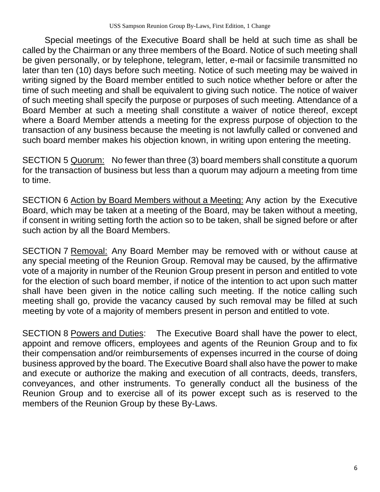Special meetings of the Executive Board shall be held at such time as shall be called by the Chairman or any three members of the Board. Notice of such meeting shall be given personally, or by telephone, telegram, letter, e-mail or facsimile transmitted no later than ten (10) days before such meeting. Notice of such meeting may be waived in writing signed by the Board member entitled to such notice whether before or after the time of such meeting and shall be equivalent to giving such notice. The notice of waiver of such meeting shall specify the purpose or purposes of such meeting. Attendance of a Board Member at such a meeting shall constitute a waiver of notice thereof, except where a Board Member attends a meeting for the express purpose of objection to the transaction of any business because the meeting is not lawfully called or convened and such board member makes his objection known, in writing upon entering the meeting.

SECTION 5 Quorum: No fewer than three (3) board members shall constitute a quorum for the transaction of business but less than a quorum may adjourn a meeting from time to time.

SECTION 6 Action by Board Members without a Meeting: Any action by the Executive Board, which may be taken at a meeting of the Board, may be taken without a meeting, if consent in writing setting forth the action so to be taken, shall be signed before or after such action by all the Board Members.

SECTION 7 Removal: Any Board Member may be removed with or without cause at any special meeting of the Reunion Group. Removal may be caused, by the affirmative vote of a majority in number of the Reunion Group present in person and entitled to vote for the election of such board member, if notice of the intention to act upon such matter shall have been given in the notice calling such meeting. If the notice calling such meeting shall go, provide the vacancy caused by such removal may be filled at such meeting by vote of a majority of members present in person and entitled to vote.

SECTION 8 Powers and Duties: The Executive Board shall have the power to elect, appoint and remove officers, employees and agents of the Reunion Group and to fix their compensation and/or reimbursements of expenses incurred in the course of doing business approved by the board. The Executive Board shall also have the power to make and execute or authorize the making and execution of all contracts, deeds, transfers, conveyances, and other instruments. To generally conduct all the business of the Reunion Group and to exercise all of its power except such as is reserved to the members of the Reunion Group by these By-Laws.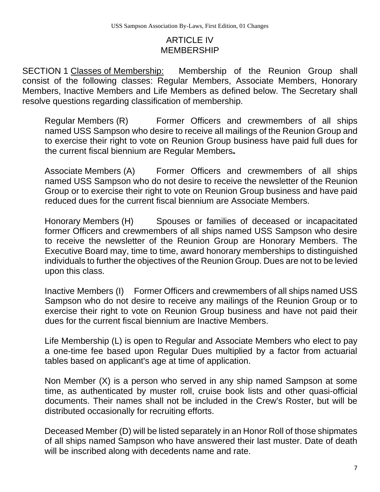#### ARTICLE IV MEMBERSHIP

SECTION 1 Classes of Membership: Membership of the Reunion Group shall consist of the following classes: Regular Members, Associate Members, Honorary Members, Inactive Members and Life Members as defined below. The Secretary shall resolve questions regarding classification of membership.

Regular Members (R) Former Officers and crewmembers of all ships named USS Sampson who desire to receive all mailings of the Reunion Group and to exercise their right to vote on Reunion Group business have paid full dues for the current fiscal biennium are Regular Members

Associate Members (A) Former Officers and crewmembers of all ships named USS Sampson who do not desire to receive the newsletter of the Reunion Group or to exercise their right to vote on Reunion Group business and have paid reduced dues for the current fiscal biennium are Associate Members.

Honorary Members (H) Spouses or families of deceased or incapacitated former Officers and crewmembers of all ships named USS Sampson who desire to receive the newsletter of the Reunion Group are Honorary Members. The Executive Board may, time to time, award honorary memberships to distinguished individuals to further the objectives of the Reunion Group. Dues are not to be levied upon this class.

Inactive Members (I) Former Officers and crewmembers of all ships named USS Sampson who do not desire to receive any mailings of the Reunion Group or to exercise their right to vote on Reunion Group business and have not paid their dues for the current fiscal biennium are Inactive Members.

Life Membership (L) is open to Regular and Associate Members who elect to pay a one-time fee based upon Regular Dues multiplied by a factor from actuarial tables based on applicant's age at time of application.

Non Member (X) is a person who served in any ship named Sampson at some time, as authenticated by muster roll, cruise book lists and other quasi-official documents. Their names shall not be included in the Crew's Roster, but will be distributed occasionally for recruiting efforts.

Deceased Member (D) will be listed separately in an Honor Roll of those shipmates of all ships named Sampson who have answered their last muster. Date of death will be inscribed along with decedents name and rate.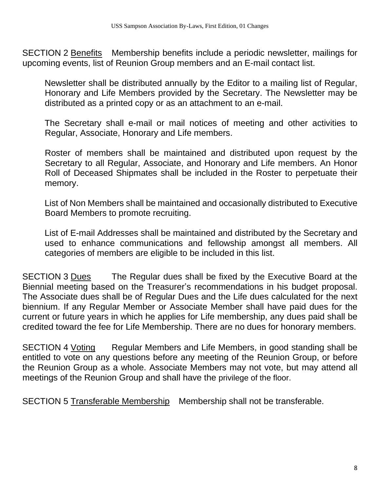SECTION 2 Benefits Membership benefits include a periodic newsletter, mailings for upcoming events, list of Reunion Group members and an E-mail contact list.

Newsletter shall be distributed annually by the Editor to a mailing list of Regular, Honorary and Life Members provided by the Secretary. The Newsletter may be distributed as a printed copy or as an attachment to an e-mail.

The Secretary shall e-mail or mail notices of meeting and other activities to Regular, Associate, Honorary and Life members.

Roster of members shall be maintained and distributed upon request by the Secretary to all Regular, Associate, and Honorary and Life members. An Honor Roll of Deceased Shipmates shall be included in the Roster to perpetuate their memory.

List of Non Members shall be maintained and occasionally distributed to Executive Board Members to promote recruiting.

List of E-mail Addresses shall be maintained and distributed by the Secretary and used to enhance communications and fellowship amongst all members. All categories of members are eligible to be included in this list.

SECTION 3 Dues The Regular dues shall be fixed by the Executive Board at the Biennial meeting based on the Treasurer's recommendations in his budget proposal. The Associate dues shall be of Regular Dues and the Life dues calculated for the next biennium. If any Regular Member or Associate Member shall have paid dues for the current or future years in which he applies for Life membership, any dues paid shall be credited toward the fee for Life Membership. There are no dues for honorary members.

SECTION 4 Voting Regular Members and Life Members, in good standing shall be entitled to vote on any questions before any meeting of the Reunion Group, or before the Reunion Group as a whole. Associate Members may not vote, but may attend all meetings of the Reunion Group and shall have the privilege of the floor.

SECTION 5 Transferable Membership Membership shall not be transferable.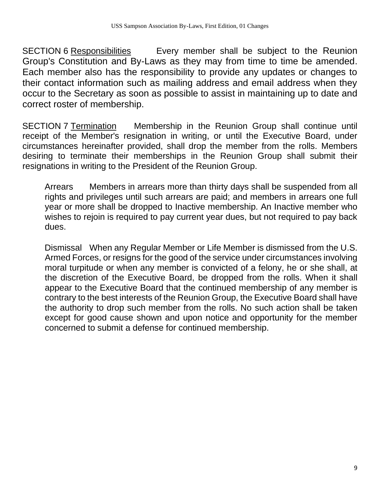SECTION 6 Responsibilities Every member shall be subject to the Reunion Group's Constitution and By-Laws as they may from time to time be amended. Each member also has the responsibility to provide any updates or changes to their contact information such as mailing address and email address when they occur to the Secretary as soon as possible to assist in maintaining up to date and correct roster of membership.

SECTION 7 Termination Membership in the Reunion Group shall continue until receipt of the Member's resignation in writing, or until the Executive Board, under circumstances hereinafter provided, shall drop the member from the rolls. Members desiring to terminate their memberships in the Reunion Group shall submit their resignations in writing to the President of the Reunion Group.

Arrears Members in arrears more than thirty days shall be suspended from all rights and privileges until such arrears are paid; and members in arrears one full year or more shall be dropped to Inactive membership. An Inactive member who wishes to rejoin is required to pay current year dues, but not required to pay back dues.

Dismissal When any Regular Member or Life Member is dismissed from the U.S. Armed Forces, or resigns for the good of the service under circumstances involving moral turpitude or when any member is convicted of a felony, he or she shall, at the discretion of the Executive Board, be dropped from the rolls. When it shall appear to the Executive Board that the continued membership of any member is contrary to the best interests of the Reunion Group, the Executive Board shall have the authority to drop such member from the rolls. No such action shall be taken except for good cause shown and upon notice and opportunity for the member concerned to submit a defense for continued membership.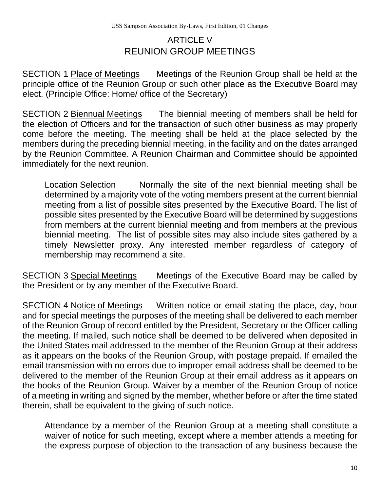## ARTICLE V REUNION GROUP MEETINGS

SECTION 1 Place of Meetings Meetings of the Reunion Group shall be held at the principle office of the Reunion Group or such other place as the Executive Board may elect. (Principle Office: Home/ office of the Secretary)

SECTION 2 Biennual Meetings The biennial meeting of members shall be held for the election of Officers and for the transaction of such other business as may properly come before the meeting. The meeting shall be held at the place selected by the members during the preceding biennial meeting, in the facility and on the dates arranged by the Reunion Committee. A Reunion Chairman and Committee should be appointed immediately for the next reunion.

Location Selection Normally the site of the next biennial meeting shall be determined by a majority vote of the voting members present at the current biennial meeting from a list of possible sites presented by the Executive Board. The list of possible sites presented by the Executive Board will be determined by suggestions from members at the current biennial meeting and from members at the previous biennial meeting. The list of possible sites may also include sites gathered by a timely Newsletter proxy. Any interested member regardless of category of membership may recommend a site.

SECTION 3 Special Meetings Meetings of the Executive Board may be called by the President or by any member of the Executive Board.

SECTION 4 Notice of Meetings Written notice or email stating the place, day, hour and for special meetings the purposes of the meeting shall be delivered to each member of the Reunion Group of record entitled by the President, Secretary or the Officer calling the meeting. If mailed, such notice shall be deemed to be delivered when deposited in the United States mail addressed to the member of the Reunion Group at their address as it appears on the books of the Reunion Group, with postage prepaid. If emailed the email transmission with no errors due to improper email address shall be deemed to be delivered to the member of the Reunion Group at their email address as it appears on the books of the Reunion Group. Waiver by a member of the Reunion Group of notice of a meeting in writing and signed by the member, whether before or after the time stated therein, shall be equivalent to the giving of such notice.

Attendance by a member of the Reunion Group at a meeting shall constitute a waiver of notice for such meeting, except where a member attends a meeting for the express purpose of objection to the transaction of any business because the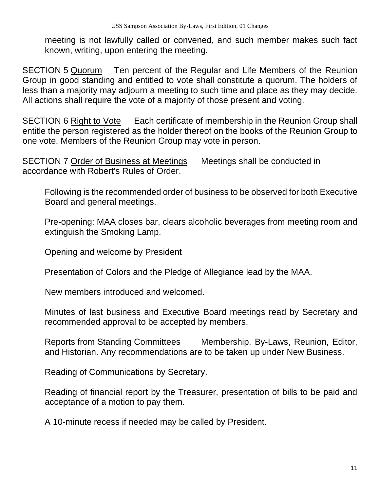meeting is not lawfully called or convened, and such member makes such fact known, writing, upon entering the meeting.

SECTION 5 Quorum Ten percent of the Regular and Life Members of the Reunion Group in good standing and entitled to vote shall constitute a quorum. The holders of less than a majority may adjourn a meeting to such time and place as they may decide. All actions shall require the vote of a majority of those present and voting.

SECTION 6 Right to Vote Each certificate of membership in the Reunion Group shall entitle the person registered as the holder thereof on the books of the Reunion Group to one vote. Members of the Reunion Group may vote in person.

SECTION 7 Order of Business at Meetings Meetings shall be conducted in accordance with Robert's Rules of Order.

Following is the recommended order of business to be observed for both Executive Board and general meetings.

Pre-opening: MAA closes bar, clears alcoholic beverages from meeting room and extinguish the Smoking Lamp.

Opening and welcome by President

Presentation of Colors and the Pledge of Allegiance lead by the MAA.

New members introduced and welcomed.

Minutes of last business and Executive Board meetings read by Secretary and recommended approval to be accepted by members.

Reports from Standing Committees Membership, By-Laws, Reunion, Editor, and Historian. Any recommendations are to be taken up under New Business.

Reading of Communications by Secretary.

Reading of financial report by the Treasurer, presentation of bills to be paid and acceptance of a motion to pay them.

A 10-minute recess if needed may be called by President.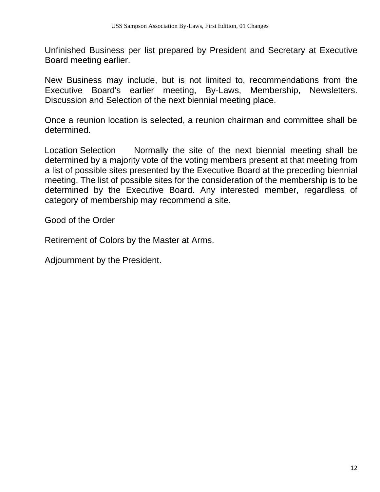Unfinished Business per list prepared by President and Secretary at Executive Board meeting earlier.

New Business may include, but is not limited to, recommendations from the Executive Board's earlier meeting, By-Laws, Membership, Newsletters. Discussion and Selection of the next biennial meeting place.

Once a reunion location is selected, a reunion chairman and committee shall be determined.

Location Selection Normally the site of the next biennial meeting shall be determined by a majority vote of the voting members present at that meeting from a list of possible sites presented by the Executive Board at the preceding biennial meeting. The list of possible sites for the consideration of the membership is to be determined by the Executive Board. Any interested member, regardless of category of membership may recommend a site.

Good of the Order

Retirement of Colors by the Master at Arms.

Adjournment by the President.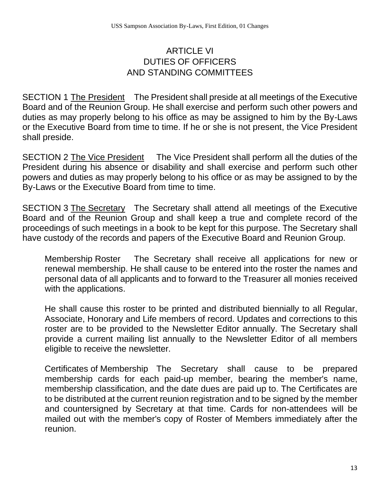#### ARTICLE VI DUTIES OF OFFICERS AND STANDING COMMITTEES

SECTION 1 The President The President shall preside at all meetings of the Executive Board and of the Reunion Group. He shall exercise and perform such other powers and duties as may properly belong to his office as may be assigned to him by the By-Laws or the Executive Board from time to time. If he or she is not present, the Vice President shall preside.

SECTION 2 The Vice President The Vice President shall perform all the duties of the President during his absence or disability and shall exercise and perform such other powers and duties as may properly belong to his office or as may be assigned to by the By-Laws or the Executive Board from time to time.

SECTION 3 The Secretary The Secretary shall attend all meetings of the Executive Board and of the Reunion Group and shall keep a true and complete record of the proceedings of such meetings in a book to be kept for this purpose. The Secretary shall have custody of the records and papers of the Executive Board and Reunion Group.

Membership Roster The Secretary shall receive all applications for new or renewal membership. He shall cause to be entered into the roster the names and personal data of all applicants and to forward to the Treasurer all monies received with the applications.

He shall cause this roster to be printed and distributed biennially to all Regular, Associate, Honorary and Life members of record. Updates and corrections to this roster are to be provided to the Newsletter Editor annually. The Secretary shall provide a current mailing list annually to the Newsletter Editor of all members eligible to receive the newsletter.

Certificates of Membership The Secretary shall cause to be prepared membership cards for each paid-up member, bearing the member's name, membership classification, and the date dues are paid up to. The Certificates are to be distributed at the current reunion registration and to be signed by the member and countersigned by Secretary at that time. Cards for non-attendees will be mailed out with the member's copy of Roster of Members immediately after the reunion.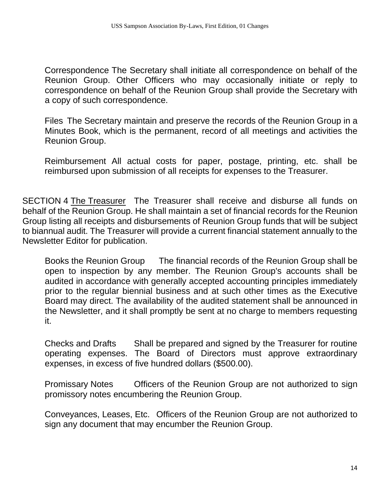Correspondence The Secretary shall initiate all correspondence on behalf of the Reunion Group. Other Officers who may occasionally initiate or reply to correspondence on behalf of the Reunion Group shall provide the Secretary with a copy of such correspondence.

Files The Secretary maintain and preserve the records of the Reunion Group in a Minutes Book, which is the permanent, record of all meetings and activities the Reunion Group.

Reimbursement All actual costs for paper, postage, printing, etc. shall be reimbursed upon submission of all receipts for expenses to the Treasurer.

SECTION 4 The Treasurer The Treasurer shall receive and disburse all funds on behalf of the Reunion Group. He shall maintain a set of financial records for the Reunion Group listing all receipts and disbursements of Reunion Group funds that will be subject to biannual audit. The Treasurer will provide a current financial statement annually to the Newsletter Editor for publication.

Books the Reunion Group The financial records of the Reunion Group shall be open to inspection by any member. The Reunion Group's accounts shall be audited in accordance with generally accepted accounting principles immediately prior to the regular biennial business and at such other times as the Executive Board may direct. The availability of the audited statement shall be announced in the Newsletter, and it shall promptly be sent at no charge to members requesting it.

Checks and Drafts Shall be prepared and signed by the Treasurer for routine operating expenses. The Board of Directors must approve extraordinary expenses, in excess of five hundred dollars (\$500.00).

Promissary Notes Officers of the Reunion Group are not authorized to sign promissory notes encumbering the Reunion Group.

Conveyances, Leases, Etc. Officers of the Reunion Group are not authorized to sign any document that may encumber the Reunion Group.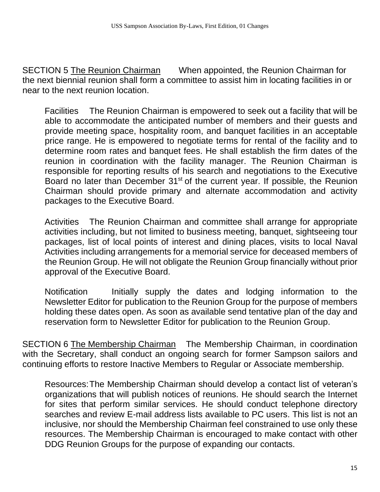SECTION 5 The Reunion Chairman When appointed, the Reunion Chairman for the next biennial reunion shall form a committee to assist him in locating facilities in or near to the next reunion location.

Facilities The Reunion Chairman is empowered to seek out a facility that will be able to accommodate the anticipated number of members and their guests and provide meeting space, hospitality room, and banquet facilities in an acceptable price range. He is empowered to negotiate terms for rental of the facility and to determine room rates and banquet fees. He shall establish the firm dates of the reunion in coordination with the facility manager. The Reunion Chairman is responsible for reporting results of his search and negotiations to the Executive Board no later than December 31<sup>st</sup> of the current year. If possible, the Reunion Chairman should provide primary and alternate accommodation and activity packages to the Executive Board.

Activities The Reunion Chairman and committee shall arrange for appropriate activities including, but not limited to business meeting, banquet, sightseeing tour packages, list of local points of interest and dining places, visits to local Naval Activities including arrangements for a memorial service for deceased members of the Reunion Group. He will not obligate the Reunion Group financially without prior approval of the Executive Board.

Notification Initially supply the dates and lodging information to the Newsletter Editor for publication to the Reunion Group for the purpose of members holding these dates open. As soon as available send tentative plan of the day and reservation form to Newsletter Editor for publication to the Reunion Group.

SECTION 6 The Membership Chairman The Membership Chairman, in coordination with the Secretary, shall conduct an ongoing search for former Sampson sailors and continuing efforts to restore Inactive Members to Regular or Associate membership.

Resources:The Membership Chairman should develop a contact list of veteran's organizations that will publish notices of reunions. He should search the Internet for sites that perform similar services. He should conduct telephone directory searches and review E-mail address lists available to PC users. This list is not an inclusive, nor should the Membership Chairman feel constrained to use only these resources. The Membership Chairman is encouraged to make contact with other DDG Reunion Groups for the purpose of expanding our contacts.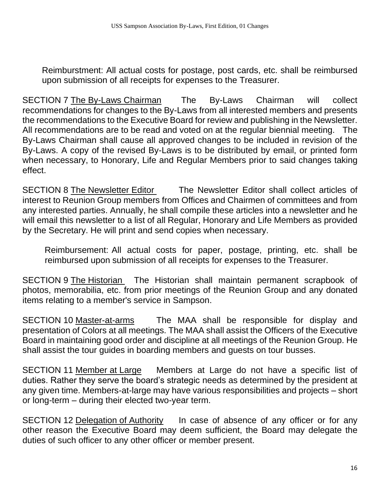Reimburstment: All actual costs for postage, post cards, etc. shall be reimbursed upon submission of all receipts for expenses to the Treasurer.

SECTION 7 The By-Laws Chairman The By-Laws Chairman will collect recommendations for changes to the By-Laws from all interested members and presents the recommendations to the Executive Board for review and publishing in the Newsletter. All recommendations are to be read and voted on at the regular biennial meeting. The By-Laws Chairman shall cause all approved changes to be included in revision of the By-Laws. A copy of the revised By-Laws is to be distributed by email, or printed form when necessary, to Honorary, Life and Regular Members prior to said changes taking effect.

SECTION 8 The Newsletter Editor The Newsletter Editor shall collect articles of interest to Reunion Group members from Offices and Chairmen of committees and from any interested parties. Annually, he shall compile these articles into a newsletter and he will email this newsletter to a list of all Regular, Honorary and Life Members as provided by the Secretary. He will print and send copies when necessary.

Reimbursement: All actual costs for paper, postage, printing, etc. shall be reimbursed upon submission of all receipts for expenses to the Treasurer.

SECTION 9 The Historian The Historian shall maintain permanent scrapbook of photos, memorabilia, etc. from prior meetings of the Reunion Group and any donated items relating to a member's service in Sampson.

SECTION 10 Master-at-arms The MAA shall be responsible for display and presentation of Colors at all meetings. The MAA shall assist the Officers of the Executive Board in maintaining good order and discipline at all meetings of the Reunion Group. He shall assist the tour guides in boarding members and guests on tour busses.

SECTION 11 Member at Large Members at Large do not have a specific list of duties. Rather they serve the board's strategic needs as determined by the president at any given time. Members-at-large may have various responsibilities and projects – short or long-term – during their elected two-year term.

SECTION 12 Delegation of Authority In case of absence of any officer or for any other reason the Executive Board may deem sufficient, the Board may delegate the duties of such officer to any other officer or member present.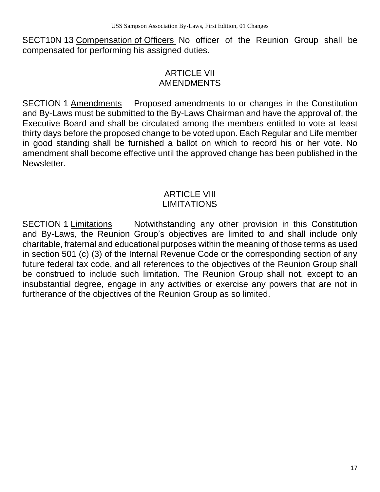SECT10N 13 Compensation of Officers No officer of the Reunion Group shall be compensated for performing his assigned duties.

#### ARTICLE VII AMENDMENTS

SECTION 1 Amendments Proposed amendments to or changes in the Constitution and By-Laws must be submitted to the By-Laws Chairman and have the approval of, the Executive Board and shall be circulated among the members entitled to vote at least thirty days before the proposed change to be voted upon. Each Regular and Life member in good standing shall be furnished a ballot on which to record his or her vote. No amendment shall become effective until the approved change has been published in the Newsletter.

#### ARTICLE VIII LIMITATIONS

SECTION 1 Limitations Motwithstanding any other provision in this Constitution and By-Laws, the Reunion Group's objectives are limited to and shall include only charitable, fraternal and educational purposes within the meaning of those terms as used in section 501 (c) (3) of the Internal Revenue Code or the corresponding section of any future federal tax code, and all references to the objectives of the Reunion Group shall be construed to include such limitation. The Reunion Group shall not, except to an insubstantial degree, engage in any activities or exercise any powers that are not in furtherance of the objectives of the Reunion Group as so limited.